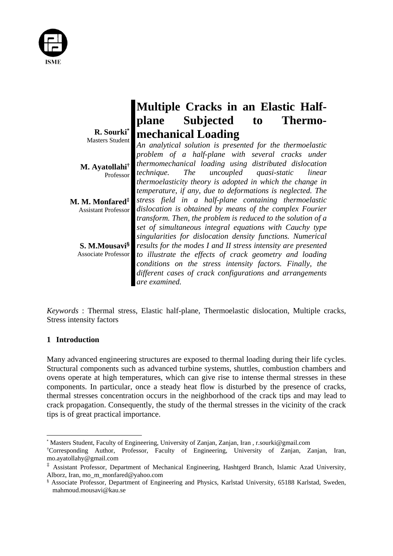

|                                         | <b>Multiple Cracks in an Elastic Half-</b>                                                                              |
|-----------------------------------------|-------------------------------------------------------------------------------------------------------------------------|
|                                         | plane Subjected to Thermo-                                                                                              |
| R. Sourki*<br>Masters Student           | mechanical Loading                                                                                                      |
|                                         | An analytical solution is presented for the thermoelastic<br>problem of a half-plane with several cracks under          |
| M. Ayatollahi <sup>†</sup><br>Professor | thermomechanical loading using distributed dislocation<br>The uncoupled quasi-static<br>technique.<br>linear            |
|                                         | thermoelasticity theory is adopted in which the change in<br>temperature, if any, due to deformations is neglected. The |
| M. M. Monfared <sup>‡</sup>             | stress field in a half-plane containing thermoelastic<br>dislocation is obtained by means of the complex Fourier        |
| <b>Assistant Professor</b>              | transform. Then, the problem is reduced to the solution of a                                                            |
|                                         | set of simultaneous integral equations with Cauchy type<br>singularities for dislocation density functions. Numerical   |
| S. M.Mousavi <sup>§</sup>               | results for the modes I and II stress intensity are presented                                                           |
| <b>Associate Professor</b>              | to illustrate the effects of crack geometry and loading                                                                 |
|                                         | conditions on the stress intensity factors. Finally, the                                                                |
|                                         | different cases of crack configurations and arrangements<br>are examined.                                               |

*Keywords* : Thermal stress, Elastic half-plane, Thermoelastic dislocation, Multiple cracks, Stress intensity factors

# **1 Introduction**

Many advanced engineering structures are exposed to thermal loading during their life cycles. Structural components such as advanced turbine systems, shuttles, combustion chambers and ovens operate at high temperatures, which can give rise to intense thermal stresses in these components. In particular, once a steady heat flow is disturbed by the presence of cracks, thermal stresses concentration occurs in the neighborhood of the crack tips and may lead to crack propagation. Consequently, the study of the thermal stresses in the vicinity of the crack tips is of great practical importance.

<sup>\*</sup> Masters Student, Faculty of Engineering, University of Zanjan, Zanjan, Iran , r.sourki@gmail.com

<sup>†</sup> Corresponding Author, Professor, Faculty of Engineering, University of Zanjan, Zanjan, Iran, mo.ayatollahy@gmail.com

<sup>‡</sup> Assistant Professor, Department of Mechanical Engineering, Hashtgerd Branch, Islamic Azad University, Alborz, Iran, mo\_m\_monfared@yahoo.com

<sup>§</sup> Associate Professor, Department of Engineering and Physics, Karlstad University, 65188 Karlstad, Sweden, mahmoud.mousavi@kau.se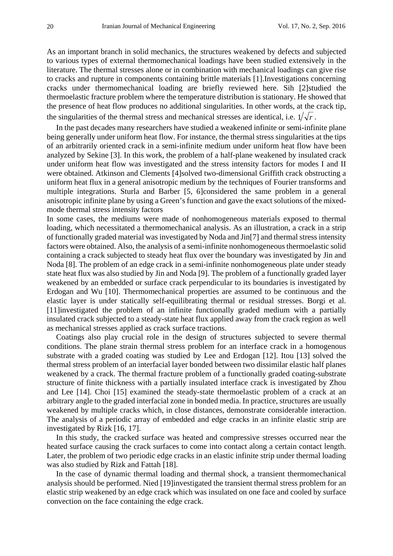As an important branch in solid mechanics, the structures weakened by defects and subjected to various types of external thermomechanical loadings have been studied extensively in the literature. The thermal stresses alone or in combination with mechanical loadings can give rise to cracks and rupture in components containing brittle materials [1].Investigations concerning cracks under thermomechanical loading are briefly reviewed here. Sih [2]studied the thermoelastic fracture problem where the temperature distribution is stationary. He showed that the presence of heat flow produces no additional singularities. In other words, at the crack tip, the singularities of the thermal stress and mechanical stresses are identical, i.e.  $1/\sqrt{r}$ .

In the past decades many researchers have studied a weakened infinite or semi-infinite plane being generally under uniform heat flow. For instance, the thermal stress singularities at the tips of an arbitrarily oriented crack in a semi-infinite medium under uniform heat flow have been analyzed by Sekine [3]. In this work, the problem of a half-plane weakened by insulated crack under uniform heat flow was investigated and the stress intensity factors for modes I and II were obtained. Atkinson and Clements [4]solved two-dimensional Griffith crack obstructing a uniform heat flux in a general anisotropic medium by the techniques of Fourier transforms and multiple integrations. Sturla and Barber [5, 6]considered the same problem in a general anisotropic infinite plane by using a Green's function and gave the exact solutions of the mixedmode thermal stress intensity factors

In some cases, the mediums were made of nonhomogeneous materials exposed to thermal loading, which necessitated a thermomechanical analysis. As an illustration, a crack in a strip of functionally graded material was investigated by Noda and Jin[7] and thermal stress intensity factors were obtained. Also, the analysis of a semi-infinite nonhomogeneous thermoelastic solid containing a crack subjected to steady heat flux over the boundary was investigated by Jin and Noda [8]. The problem of an edge crack in a semi-infinite nonhomogeneous plate under steady state heat flux was also studied by Jin and Noda [9]. The problem of a functionally graded layer weakened by an embedded or surface crack perpendicular to its boundaries is investigated by Erdogan and Wu [10]. Thermomechanical properties are assumed to be continuous and the elastic layer is under statically self-equilibrating thermal or residual stresses. Borgi et al. [11]investigated the problem of an infinite functionally graded medium with a partially insulated crack subjected to a steady-state heat flux applied away from the crack region as well as mechanical stresses applied as crack surface tractions.

Coatings also play crucial role in the design of structures subjected to severe thermal conditions. The plane strain thermal stress problem for an interface crack in a homogenous substrate with a graded coating was studied by Lee and Erdogan [12]. Itou [13] solved the thermal stress problem of an interfacial layer bonded between two dissimilar elastic half planes weakened by a crack. The thermal fracture problem of a functionally graded coating-substrate structure of finite thickness with a partially insulated interface crack is investigated by Zhou and Lee [14]. Choi [15] examined the steady-state thermoelastic problem of a crack at an arbitrary angle to the graded interfacial zone in bonded media. In practice, structures are usually weakened by multiple cracks which, in close distances, demonstrate considerable interaction. The analysis of a periodic array of embedded and edge cracks in an infinite elastic strip are investigated by Rizk [16, 17].

In this study, the cracked surface was heated and compressive stresses occurred near the heated surface causing the crack surfaces to come into contact along a certain contact length. Later, the problem of two periodic edge cracks in an elastic infinite strip under thermal loading was also studied by Rizk and Fattah [18].

In the case of dynamic thermal loading and thermal shock, a transient thermomechanical analysis should be performed. Nied [19]investigated the transient thermal stress problem for an elastic strip weakened by an edge crack which was insulated on one face and cooled by surface convection on the face containing the edge crack.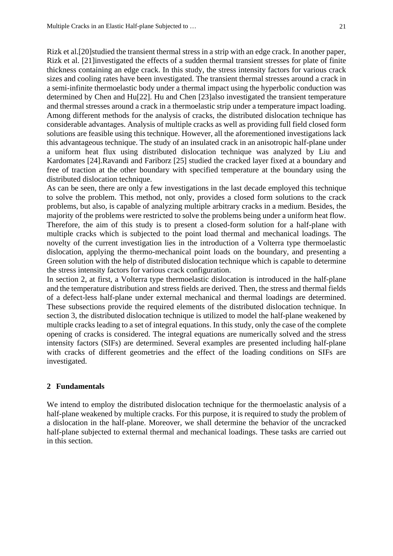Rizk et al.[20]studied the transient thermal stress in a strip with an edge crack. In another paper, Rizk et al. [21]investigated the effects of a sudden thermal transient stresses for plate of finite thickness containing an edge crack. In this study, the stress intensity factors for various crack sizes and cooling rates have been investigated. The transient thermal stresses around a crack in a semi-infinite thermoelastic body under a thermal impact using the hyperbolic conduction was determined by Chen and Hu[22]. Hu and Chen [23]also investigated the transient temperature and thermal stresses around a crack in a thermoelastic strip under a temperature impact loading. Among different methods for the analysis of cracks, the distributed dislocation technique has considerable advantages. Analysis of multiple cracks as well as providing full field closed form solutions are feasible using this technique. However, all the aforementioned investigations lack this advantageous technique. The study of an insulated crack in an anisotropic half-plane under a uniform heat flux using distributed dislocation technique was analyzed by Liu and Kardomates [24].Ravandi and Fariborz [25] studied the cracked layer fixed at a boundary and free of traction at the other boundary with specified temperature at the boundary using the distributed dislocation technique.

As can be seen, there are only a few investigations in the last decade employed this technique to solve the problem. This method, not only, provides a closed form solutions to the crack problems, but also, is capable of analyzing multiple arbitrary cracks in a medium. Besides, the majority of the problems were restricted to solve the problems being under a uniform heat flow. Therefore, the aim of this study is to present a closed-form solution for a half-plane with multiple cracks which is subjected to the point load thermal and mechanical loadings. The novelty of the current investigation lies in the introduction of a Volterra type thermoelastic dislocation, applying the thermo-mechanical point loads on the boundary, and presenting a Green solution with the help of distributed dislocation technique which is capable to determine the stress intensity factors for various crack configuration.

In section 2, at first, a Volterra type thermoelastic dislocation is introduced in the half-plane and the temperature distribution and stress fields are derived. Then, the stress and thermal fields of a defect-less half-plane under external mechanical and thermal loadings are determined. These subsections provide the required elements of the distributed dislocation technique. In section 3, the distributed dislocation technique is utilized to model the half-plane weakened by multiple cracks leading to a set of integral equations. In this study, only the case of the complete opening of cracks is considered. The integral equations are numerically solved and the stress intensity factors (SIFs) are determined. Several examples are presented including half-plane with cracks of different geometries and the effect of the loading conditions on SIFs are investigated.

### **2 Fundamentals**

We intend to employ the distributed dislocation technique for the thermoelastic analysis of a half-plane weakened by multiple cracks. For this purpose, it is required to study the problem of a dislocation in the half-plane. Moreover, we shall determine the behavior of the uncracked half-plane subjected to external thermal and mechanical loadings. These tasks are carried out in this section.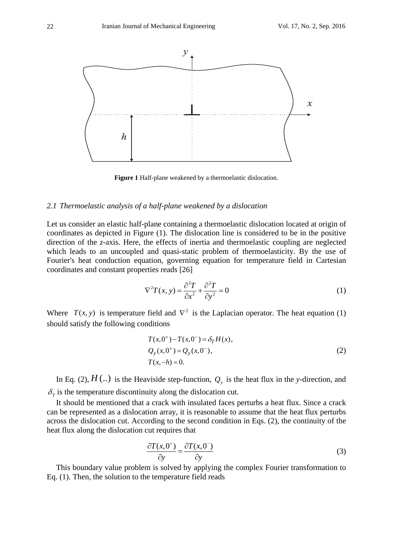

**Figure 1** Half-plane weakened by a thermoelastic dislocation.

#### *2.1 Thermoelastic analysis of a half-plane weakened by a dislocation*

Let us consider an elastic half-plane containing a thermoelastic dislocation located at origin of coordinates as depicted in Figure (1). The dislocation line is considered to be in the positive direction of the *z*-axis. Here, the effects of inertia and thermoelastic coupling are neglected which leads to an uncoupled and quasi-static problem of thermoelasticity. By the use of Fourier's heat conduction equation, governing equation for temperature field in Cartesian coordinates and constant properties reads [26]

$$
\nabla^2 T(x, y) = \frac{\partial^2 T}{\partial x^2} + \frac{\partial^2 T}{\partial y^2} = 0
$$
 (1)

Where  $T(x, y)$  is temperature field and  $\nabla^2$  is the Laplacian operator. The heat equation (1) should satisfy the following conditions

$$
T(x,0^{+}) - T(x,0^{-}) = \delta_{T} H(x),
$$
  
\n
$$
Q_{y}(x,0^{+}) = Q_{y}(x,0^{-}),
$$
  
\n
$$
T(x,-h) = 0.
$$
\n(2)

In Eq. (2),  $H(.)$  is the Heaviside step-function,  $Q<sub>y</sub>$  is the heat flux in the *y*-direction, and  $\delta_{\tau}$  is the temperature discontinuity along the dislocation cut.

It should be mentioned that a crack with insulated faces perturbs a heat flux. Since a crack can be represented as a dislocation array, it is reasonable to assume that the heat flux perturbs across the dislocation cut. According to the second condition in Eqs. (2), the continuity of the heat flux along the dislocation cut requires that

$$
\frac{\partial T(x,0^+)}{\partial y} = \frac{\partial T(x,0^-)}{\partial y}
$$
(3)

This boundary value problem is solved by applying the complex Fourier transformation to Eq. (1). Then, the solution to the temperature field reads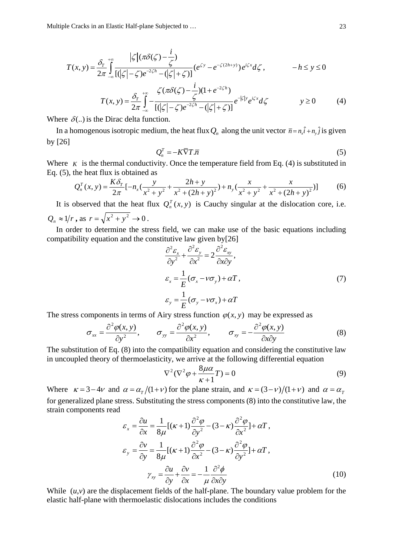Multiple Cracks in an Elastic Half-plane Subjected to …

$$
T(x, y) = \frac{\delta_T}{2\pi} \int_{-\infty}^{+\infty} \frac{|\zeta| (\pi \delta(\zeta) - \frac{i}{\zeta})}{[(|\zeta| - \zeta)e^{-2\zeta h} - (|\zeta| + \zeta)]} (e^{\zeta y} - e^{-\zeta(2h+y)}) e^{i\zeta x} d\zeta, \qquad -h \le y \le 0
$$

$$
T(x, y) = \frac{\delta_r}{2\pi} \int_{-\infty}^{+\infty} -\frac{\zeta(\pi\delta(\zeta) - \frac{i}{\zeta})(1 + e^{-2\zeta h})}{[(|\zeta| - \zeta)e^{-2\zeta h} - (|\zeta| + \zeta)]} e^{-|\zeta| y} e^{i\zeta x} d\zeta \qquad y \ge 0 \qquad (4)
$$

Where  $\delta(.)$  is the Dirac delta function.

In a homogenous isotropic medium, the heat flux  $Q_n$  along the unit vector  $\bar{n} = n_x \hat{i} + n_y \hat{j}$  is given by [26]

$$
Q_n^T = -K\overline{\nabla}T.\overline{n} \tag{5}
$$

Where  $K$  is the thermal conductivity. Once the temperature field from Eq. (4) is substituted in Eq. (5), the heat flux is obtained as

$$
Q_n^T(x, y) = \frac{K\delta_T}{2\pi} \left[ -n_x \left( \frac{y}{x^2 + y^2} + \frac{2h + y}{x^2 + (2h + y^2)} \right) + n_y \left( \frac{x}{x^2 + y^2} + \frac{x}{x^2 + (2h + y^2)} \right) \right] \tag{6}
$$

It is observed that the heat flux  $Q_n^T(x, y)$  is Cauchy singular at the dislocation core, i.e.  $Q_n \approx 1/r$ , as  $r = \sqrt{x^2 + y^2} \to 0$ .

In order to determine the stress field, we can make use of the basic equations including compatibility equation and the constitutive law given by[26]

$$
\frac{\partial^2 \varepsilon_x}{\partial y^2} + \frac{\partial^2 \varepsilon_y}{\partial x^2} = 2 \frac{\partial^2 \varepsilon_{xy}}{\partial x \partial y},
$$
  
\n
$$
\varepsilon_x = \frac{1}{E} (\sigma_x - v \sigma_y) + \alpha T,
$$
  
\n
$$
\varepsilon_y = \frac{1}{E} (\sigma_y - v \sigma_x) + \alpha T
$$
\n(7)

The stress components in terms of Airy stress function  $\varphi(x, y)$  may be expressed as

$$
\sigma_{xx} = \frac{\partial^2 \varphi(x, y)}{\partial y^2}, \qquad \sigma_{yy} = \frac{\partial^2 \varphi(x, y)}{\partial x^2}, \qquad \sigma_{xy} = -\frac{\partial^2 \varphi(x, y)}{\partial x \partial y}
$$
(8)

The substitution of Eq. (8) into the compatibility equation and considering the constitutive law in uncoupled theory of thermoelasticity, we arrive at the following differential equation

$$
\nabla^2 (\nabla^2 \varphi + \frac{8\mu\alpha}{\kappa + 1} T) = 0
$$
\n(9)

Where  $\kappa = 3 - 4\nu$  and  $\alpha = \alpha_r/(1 + \nu)$  for the plane strain, and  $\kappa = (3 - \nu)/(1 + \nu)$  and  $\alpha = \alpha_r$ for generalized plane stress. Substituting the stress components (8) into the constitutive law, the strain components read

$$
\varepsilon_{x} = \frac{\partial u}{\partial x} = \frac{1}{8\mu} [(\kappa + 1) \frac{\partial^{2} \varphi}{\partial y^{2}} - (3 - \kappa) \frac{\partial^{2} \varphi}{\partial x^{2}}] + \alpha T,
$$
  
\n
$$
\varepsilon_{y} = \frac{\partial v}{\partial y} = \frac{1}{8\mu} [(\kappa + 1) \frac{\partial^{2} \varphi}{\partial x^{2}} - (3 - \kappa) \frac{\partial^{2} \varphi}{\partial y^{2}}] + \alpha T,
$$
  
\n
$$
\gamma_{xy} = \frac{\partial u}{\partial y} + \frac{\partial v}{\partial x} = -\frac{1}{\mu} \frac{\partial^{2} \varphi}{\partial x \partial y}
$$
(10)

While  $(u, v)$  are the displacement fields of the half-plane. The boundary value problem for the elastic half-plane with thermoelastic dislocations includes the conditions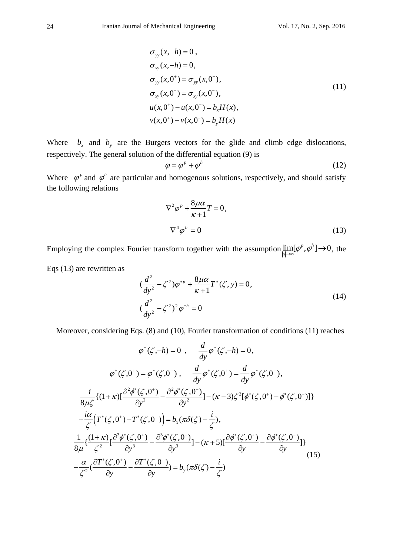$$
\sigma_{yy}(x,-h) = 0, \n\sigma_{xy}(x,-h) = 0, \n\sigma_{yy}(x,0^{+}) = \sigma_{yy}(x,0^{-}), \n\sigma_{xy}(x,0^{+}) = \sigma_{xy}(x,0^{-}), \n u(x,0^{+}) - u(x,0^{-}) = b_{x}H(x), \n v(x,0^{+}) - v(x,0^{-}) = b_{y}H(x)
$$
\n(11)

Where  $b_x$  and  $b_y$  are the Burgers vectors for the glide and climb edge dislocations, respectively. The general solution of the differential equation (9) is

$$
\varphi = \varphi^p + \varphi^h \tag{12}
$$

Where  $\varphi^p$  and  $\varphi^h$  are particular and homogenous solutions, respectively, and should satisfy the following relations

$$
\nabla^2 \varphi^p + \frac{8\mu\alpha}{\kappa + 1} T = 0,
$$
  

$$
\nabla^4 \varphi^h = 0
$$
 (13)

Employing the complex Fourier transform together with the assumption  $\lim_{|x|\to\infty} [\varphi^p, \varphi^h] \to 0$ , the

Eqs (13) are rewritten as

$$
\left(\frac{d^2}{dy^2} - \zeta^2\right)\varphi^{*p} + \frac{8\mu\alpha}{\kappa + 1}T^*(\zeta, y) = 0,
$$
\n
$$
\left(\frac{d^2}{dy^2} - \zeta^2\right)^2 \varphi^{*h} = 0
$$
\n(14)

Moreover, considering Eqs. (8) and (10), Fourier transformation of conditions (11) reaches

$$
\varphi^*(\zeta, -h) = 0 \ , \quad \frac{d}{dy} \varphi^*(\zeta, -h) = 0,
$$
\n
$$
\varphi^*(\zeta, 0^+) = \varphi^*(\zeta, 0^-) \ , \quad \frac{d}{dy} \varphi^*(\zeta, 0^+) = \frac{d}{dy} \varphi^*(\zeta, 0^-),
$$
\n
$$
\frac{-i}{8\mu\zeta} \{ (1+\kappa) [\frac{\partial^2 \phi^*(\zeta, 0^+)}{\partial y^2} - \frac{\partial^2 \phi^*(\zeta, 0^-)}{\partial y^2}] - (\kappa - 3)\zeta^2 [\phi^*(\zeta, 0^+) - \phi^*(\zeta, 0^-)] \}
$$
\n
$$
+ \frac{i\alpha}{\zeta} (T^*(\zeta, 0^+) - T^*(\zeta, 0^-)) = b_x (\pi \delta(\zeta) - \frac{i}{\zeta}),
$$
\n
$$
\frac{1}{8\mu} \{ \frac{(1+\kappa)}{\zeta^2} [\frac{\partial^3 \phi^*(\zeta, 0^+)}{\partial y^3} - \frac{\partial^3 \phi^*(\zeta, 0^-)}{\partial y^3}] - (\kappa + 5) [\frac{\partial \phi^*(\zeta, 0^+)}{\partial y} - \frac{\partial \phi^*(\zeta, 0^-)}{\partial y}] \}
$$
\n
$$
+ \frac{\alpha}{\zeta^2} (\frac{\partial T^*(\zeta, 0^+)}{\partial y} - \frac{\partial T^*(\zeta, 0^-)}{\partial y}) = b_y (\pi \delta(\zeta) - \frac{i}{\zeta})
$$
\n(15)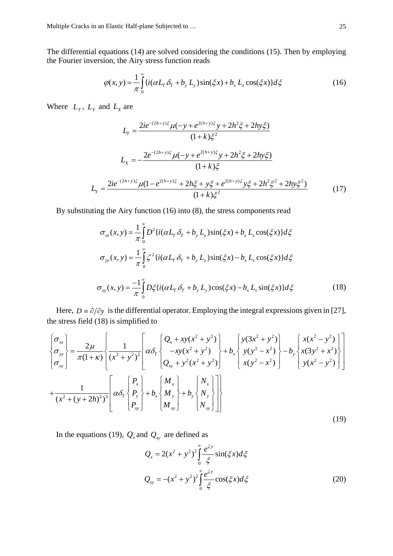The differential equations (14) are solved considering the conditions (15). Then by employing the Fourier inversion, the Airy stress function reads

$$
\varphi(x, y) = \frac{1}{\pi} \int_{0}^{\infty} \{i(\alpha L_{T} \delta_{T} + b_{y} L_{y}) \sin(\xi x) + b_{x} L_{x} \cos(\xi x)\} d\xi
$$
(16)

Where  $L_T$ ,  $L_Y$  and  $L_X$  are

$$
L_{r} = \frac{2ie^{-(2h+y)\xi}\mu(-y + e^{2(h+y)\xi}y + 2h^{2}\xi + 2hy\xi)}{(1+k)\xi^{2}}
$$
  
\n
$$
L_{x} = -\frac{2e^{-(2h+y)\xi}\mu(-y + e^{2(h+y)\xi}y + 2h^{2}\xi + 2hy\xi)}{(1+k)\xi}
$$
  
\n
$$
L_{y} = \frac{2ie^{-(2h+y)\xi}\mu(1 - e^{2(h+y)\xi} + 2h\xi + y\xi + e^{2(h+y)\xi}y\xi + 2h^{2}\xi^{2} + 2hy\xi^{2})}{(1+k)\xi^{2}}
$$
(17)

By substituting the Airy function (16) into (8), the stress components read

$$
\sigma_{xx}(x, y) = \frac{1}{\pi} \int_{0}^{\infty} D^{2} \{ i(\alpha L_{T} \delta_{T} + b_{y} L_{y}) \sin(\xi x) + b_{x} L_{x} \cos(\xi x) \} d\xi
$$
  

$$
\sigma_{yy}(x, y) = \frac{1}{\pi} \int_{0}^{\infty} \zeta^{2} \{ i(\alpha L_{T} \delta_{T} + b_{y} L_{y}) \sin(\xi x) - b_{x} L_{x} \cos(\xi x) \} d\xi
$$
  

$$
\sigma_{xy}(x, y) = \frac{-1}{\pi} \int_{0}^{\infty} D \xi \{ i(\alpha L_{T} \delta_{T} + b_{y} L_{y}) \cos(\xi x) - b_{x} L_{x} \sin(\xi x) \} d\xi
$$
(18)

Here,  $D = \partial/\partial y$  is the differential operator. Employing the integral expressions given in [27], the stress field (18) is simplified to

$$
\begin{aligned}\n\begin{bmatrix}\n\sigma_{xy} \\
\sigma_{yy} \\
\sigma_{xy}\n\end{bmatrix} &= \frac{2\mu}{\pi(1+\kappa)} \left[ \frac{1}{(x^2 + y^2)^2} \left[ \alpha \delta_T \begin{bmatrix} Q_x + xy(x^2 + y^2) \\ -xy(x^2 + y^2) \\ Q_{xy} + y^2(x^2 + y^2) \end{bmatrix} + b_x \begin{bmatrix} y(3x^2 + y^2) \\ y(y^2 - x^2) \\ x(y^2 - x^2) \end{bmatrix} - b_y \begin{bmatrix} x(x^2 - y^2) \\ x(3y^2 + x^2) \\ y(x^2 - y^2) \end{bmatrix} \right] \\
&+ \frac{1}{(x^2 + (y + 2h)^2)^3} \left[ \alpha \delta_T \begin{bmatrix} P_x \\ P_y \\ P_{xy} \end{bmatrix} + b_x \begin{bmatrix} M_x \\ M_y \\ M_{xy} \end{bmatrix} + b_y \begin{bmatrix} N_x \\ N_y \\ N_{xy} \end{bmatrix} \right]\n\end{aligned}
$$
\n(19)

In the equations (19),  $Q_x$  and  $Q_{xy}$  are defined as

$$
Q_x = 2(x^2 + y^2)^2 \int_0^{\infty} \frac{e^{\xi y}}{\xi} \sin(\xi x) d\xi
$$
  

$$
Q_{xy} = -(x^2 + y^2)^2 \int_0^{\infty} \frac{e^{\xi y}}{\xi} \cos(\xi x) d\xi
$$
 (20)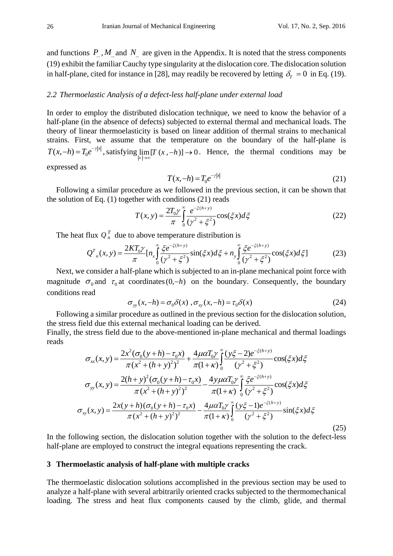and functions  $P$ ,  $M$  and  $N$  are given in the Appendix. It is noted that the stress components (19) exhibit the familiar Cauchy type singularity at the dislocation core. The dislocation solution in half-plane, cited for instance in [28], may readily be recovered by letting  $\delta_T = 0$  in Eq. (19).

#### *2.2 Thermoelastic Analysis of a defect-less half-plane under external load*

In order to employ the distributed dislocation technique, we need to know the behavior of a half-plane (in the absence of defects) subjected to external thermal and mechanical loads. The theory of linear thermoelasticity is based on linear addition of thermal strains to mechanical strains. First, we assume that the temperature on the boundary of the half-plane is  $T(x, -h) = T_0 e^{-r|x|}$ , satisfying  $\lim_{|x| \to \infty} [T(x, -h)] \to 0$ . Hence, the thermal conditions may be

expressed as

$$
T(x, -h) = T_0 e^{-\gamma |x|}
$$
 (21)

Following a similar procedure as we followed in the previous section, it can be shown that the solution of Eq.  $(1)$  together with conditions  $(21)$  reads

$$
T(x, y) = \frac{2T_0 \gamma}{\pi} \int_0^\infty \frac{e^{-\xi(h+y)}}{(\gamma^2 + \xi^2)} \cos(\xi x) d\xi
$$
 (22)

The heat flux  $Q_n^T$  due to above temperature distribution is

$$
Q^{T}_{n}(x,y) = \frac{2KT_{0}\gamma}{\pi} [n_{x} \int_{0}^{\infty} \frac{\xi e^{-\xi(h+y)}}{(\gamma^{2} + \xi^{2})} \sin(\xi x) d\xi + n_{y} \int_{0}^{\infty} \frac{\xi e^{-\xi(h+y)}}{(\gamma^{2} + \xi^{2})} \cos(\xi x) d\xi]
$$
(23)

Next, we consider a half-plane which is subjected to an in-plane mechanical point force with magnitude  $\sigma_0$  and  $\tau_0$  at coordinates (0,-h) on the boundary. Consequently, the boundary conditions read

$$
\sigma_{yy}(x,-h) = \sigma_0 \delta(x) , \sigma_{xy}(x,-h) = \tau_0 \delta(x)
$$
 (24)

Following a similar procedure as outlined in the previous section for the dislocation solution, the stress field due this external mechanical loading can be derived.

Finally, the stress field due to the above-mentioned in-plane mechanical and thermal loadings reads

$$
\sigma_{xx}(x, y) = \frac{2x^2(\sigma_0(y+h) - \tau_0 x)}{\pi(x^2 + (h+y)^2)^2} + \frac{4\mu\alpha T_0 y}{\pi(1+\kappa)} \int_0^\infty \frac{(y\xi - 2)e^{-\xi(h+y)}}{(y^2 + \xi^2)} \cos(\xi x) d\xi
$$

$$
\sigma_{yy}(x, y) = \frac{2(h+y)^2(\sigma_0(y+h) - \tau_0 x)}{\pi(x^2 + (h+y)^2)^2} - \frac{4y\mu\alpha T_0 y}{\pi(1+\kappa)} \int_0^\infty \frac{\xi e^{-\xi(h+y)}}{(y^2 + \xi^2)} \cos(\xi x) d\xi
$$

$$
\sigma_{xy}(x, y) = \frac{2x(y+h)(\sigma_0(y+h) - \tau_0 x)}{\pi(x^2 + (h+y)^2)^2} - \frac{4\mu\alpha T_0 y}{\pi(1+\kappa)} \int_0^\infty \frac{(y\xi - 1)e^{-\xi(h+y)}}{(y^2 + \xi^2)} \sin(\xi x) d\xi
$$
(25)

In the following section, the dislocation solution together with the solution to the defect-less half-plane are employed to construct the integral equations representing the crack.

#### **3 Thermoelastic analysis of half-plane with multiple cracks**

The thermoelastic dislocation solutions accomplished in the previous section may be used to analyze a half-plane with several arbitrarily oriented cracks subjected to the thermomechanical loading. The stress and heat flux components caused by the climb, glide, and thermal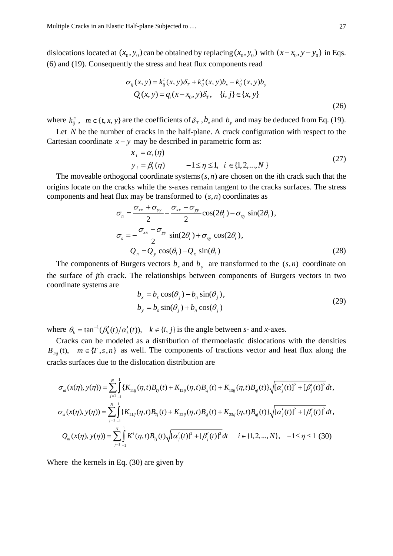dislocations located at  $(x_0, y_0)$  can be obtained by replacing  $(x_0, y_0)$  with  $(x - x_0, y - y_0)$  in Eqs. (6) and (19). Consequently the stress and heat flux components read

$$
\sigma_{ij}(x, y) = k_{ij}^{t}(x, y)\delta_{T} + k_{ij}^{x}(x, y)b_{x} + k_{ij}^{y}(x, y)b_{y}
$$
  
\n
$$
Q_{i}(x, y) = q_{i}(x - x_{0}, y)\delta_{T}, \quad \{i, j\} \in \{x, y\}
$$
  
\n(26)

where  $k_{ij}^m$ ,  $m \in \{t, x, y\}$  are the coefficients of  $\delta_T$ ,  $b_x$  and  $b_y$  and may be deduced from Eq. (19).

Let *N* be the number of cracks in the half-plane. A crack configuration with respect to the Cartesian coordinate  $x - y$  may be described in parametric form as:

$$
x_{i} = \alpha_{i}(\eta)
$$
  
\n
$$
y_{i} = \beta_{i}(\eta) \qquad -1 \le \eta \le 1, \quad i \in \{1, 2, ..., N\}
$$
 (27)

The moveable orthogonal coordinate systems(*s*,*n*) are chosen on the *i*th crack such that the origins locate on the cracks while the *s*-axes remain tangent to the cracks surfaces. The stress components and heat flux may be transformed to (*s*,*n*) coordinates as

$$
\sigma_n = \frac{\sigma_{xx} + \sigma_{yy}}{2} - \frac{\sigma_{xx} - \sigma_{yy}}{2} \cos(2\theta_i) - \sigma_{xy} \sin(2\theta_i),
$$
  
\n
$$
\sigma_s = -\frac{\sigma_{xx} - \sigma_{yy}}{2} \sin(2\theta_i) + \sigma_{xy} \cos(2\theta_i),
$$
  
\n
$$
Q_n = Q_y \cos(\theta_i) - Q_x \sin(\theta_i)
$$
\n(28)

The components of Burgers vectors  $b_x$  and  $b_y$  are transformed to the  $(s, n)$  coordinate on the surface of *j*th crack. The relationships between components of Burgers vectors in two coordinate systems are

$$
b_x = b_s \cos(\theta_j) - b_n \sin(\theta_j),
$$
  
\n
$$
b_y = b_s \sin(\theta_j) + b_n \cos(\theta_j)
$$
\n(29)

where  $\theta_k = \tan^{-1}(\beta_k'(t)/\alpha_k'(t))$ ,  $k \in \{i, j\}$  is the angle between *s*- and *x*-axes.

Cracks can be modeled as a distribution of thermoelastic dislocations with the densities  $B_{mi}(t)$ ,  $m \in \{T, s, n\}$  as well. The components of tractions vector and heat flux along the cracks surfaces due to the dislocation distribution are

$$
\sigma_{ni}(x(\eta), y(\eta)) = \sum_{j=1}^{N} \int_{-1}^{1} \{K_{11ij}(\eta, t)B_{\eta j}(t) + K_{12ij}(\eta, t)B_{sj}(t) + K_{13ij}(\eta, t)B_{\eta j}(t)\}\sqrt{[\alpha'_{j}(t)]^{2} + [\beta'_{j}(t)]^{2}} dt,
$$
\n
$$
\sigma_{si}(x(\eta), y(\eta)) = \sum_{j=1}^{N} \int_{-1}^{1} \{K_{21ij}(\eta, t)B_{\eta j}(t) + K_{22ij}(\eta, t)B_{sj}(t) + K_{23ij}(\eta, t)B_{\eta j}(t)\}\sqrt{[\alpha'_{j}(t)]^{2} + [\beta'_{j}(t)]^{2}} dt,
$$
\n
$$
Q_{ni}(x(\eta), y(\eta)) = \sum_{j=1}^{N} \int_{-1}^{1} K'( \eta, t)B_{\eta j}(t) \sqrt{[\alpha'_{j}(t)]^{2} + [\beta'_{j}(t)]^{2}} dt \qquad i \in \{1, 2, ..., N\}, \quad -1 \le \eta \le 1 \quad (30)
$$

Where the kernels in Eq. (30) are given by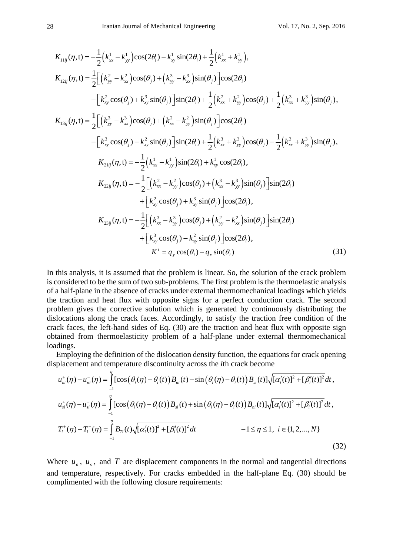$$
K_{11ij}(\eta, t) = -\frac{1}{2} (k_{xx}^1 - k_{yy}^1) \cos(2\theta_i) - k_{xy}^1 \sin(2\theta_i) + \frac{1}{2} (k_{xx}^1 + k_{yy}^1),
$$
  
\n
$$
K_{12ij}(\eta, t) = \frac{1}{2} \Big[ (k_{yy}^2 - k_{xx}^2) \cos(\theta_j) + (k_{yy}^3 - k_{xx}^3) \sin(\theta_j) \Big] \cos(2\theta_i)
$$
  
\n
$$
- \Big[ k_{xy}^2 \cos(\theta_j) + k_{xy}^3 \sin(\theta_j) \Big] \sin(2\theta_i) + \frac{1}{2} (k_{xx}^2 + k_{yy}^2) \cos(\theta_j) + \frac{1}{2} (k_{xx}^3 + k_{yy}^3) \sin(\theta_j),
$$
  
\n
$$
K_{13ij}(\eta, t) = \frac{1}{2} \Big[ (k_{yy}^3 - k_{xx}^3) \cos(\theta_j) + (k_{xx}^2 - k_{yy}^2) \sin(\theta_j) \Big] \cos(2\theta_i)
$$
  
\n
$$
- \Big[ k_{xy}^3 \cos(\theta_j) - k_{xy}^2 \sin(\theta_j) \Big] \sin(2\theta_i) + \frac{1}{2} (k_{xx}^3 + k_{yy}^3) \cos(\theta_j) - \frac{1}{2} (k_{xx}^3 + k_{yy}^3) \sin(\theta_j),
$$
  
\n
$$
K_{21ij}(\eta, t) = -\frac{1}{2} (k_{xx}^1 - k_{yy}^1) \sin(2\theta_i) + k_{xy}^1 \cos(2\theta_i),
$$
  
\n
$$
K_{22ij}(\eta, t) = -\frac{1}{2} \Big[ (k_{xx}^2 - k_{yy}^2) \cos(\theta_j) + (k_{xx}^3 - k_{yy}^3) \sin(\theta_j) \Big] \sin(2\theta_i)
$$
  
\n
$$
+ \Big[ k_{xy}^3 \cos(\theta_j) + k_{xy}^3 \sin(\theta_j) \Big] \cos(2\theta_i),
$$
  
\n
$$
K_{23ij}(\eta, t) = -\frac{1}{2} \Big[ (k_{xx}^3 - k_{yy}^3) \cos(\theta_j) + (k_{yx}^2 - k_{xx}^2) \sin
$$

In this analysis, it is assumed that the problem is linear. So, the solution of the crack problem is considered to be the sum of two sub-problems. The first problem is the thermoelastic analysis of a half-plane in the absence of cracks under external thermomechanical loadings which yields the traction and heat flux with opposite signs for a perfect conduction crack. The second problem gives the corrective solution which is generated by continuously distributing the dislocations along the crack faces. Accordingly, to satisfy the traction free condition of the crack faces, the left-hand sides of Eq. (30) are the traction and heat flux with opposite sign obtained from thermoelasticity problem of a half-plane under external thermomechanical loadings.

Employing the definition of the dislocation density function, the equations for crack opening displacement and temperature discontinuity across the *i*th crack become

$$
u_{ni}^{+}(\eta) - u_{ni}^{-}(\eta) = \int_{-1}^{\eta} [\cos(\theta_{i}(\eta) - \theta_{i}(t)) B_{ni}(t) - \sin(\theta_{i}(\eta) - \theta_{i}(t)) B_{si}(t)] \sqrt{[\alpha_{i}'(t)]^{2} + [\beta_{i}'(t)]^{2}} dt,
$$
  
\n
$$
u_{si}^{+}(\eta) - u_{si}^{-}(\eta) = \int_{-1}^{\eta} [\cos(\theta_{i}(\eta) - \theta_{i}(t)) B_{si}(t) + \sin(\theta_{i}(\eta) - \theta_{i}(t)) B_{ni}(t)] \sqrt{[\alpha_{i}'(t)]^{2} + [\beta_{i}'(t)]^{2}} dt,
$$
  
\n
$$
T_{i}^{+}(\eta) - T_{i}^{-}(\eta) = \int_{-1}^{\eta} B_{Ti}(t) \sqrt{[\alpha_{i}'(t)]^{2} + [\beta_{i}'(t)]^{2}} dt
$$
  
\n
$$
-1 \le \eta \le 1, \quad i \in \{1, 2, ..., N\}
$$
\n(32)

Where  $u_n$ ,  $u_s$ , and *T* are displacement components in the normal and tangential directions and temperature, respectively. For cracks embedded in the half-plane Eq. (30) should be complimented with the following closure requirements: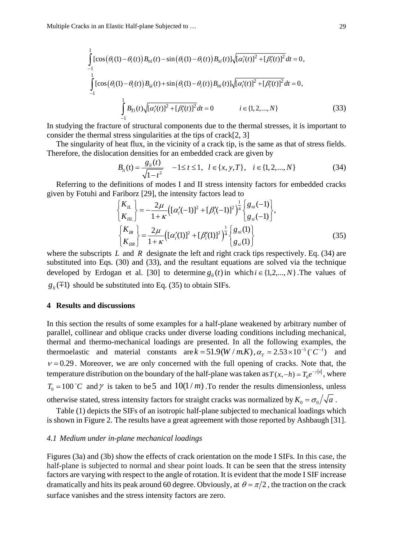$$
\int_{-1}^{1} [\cos(\theta_i(1) - \theta_i(t)) B_{ni}(t) - \sin(\theta_i(1) - \theta_i(t)) B_{si}(t)] \sqrt{[\alpha'_i(t)]^2 + [\beta'_i(t)]^2} dt = 0,
$$
\n
$$
\int_{-1}^{1} [\cos(\theta_i(1) - \theta_i(t)) B_{si}(t) + \sin(\theta_i(1) - \theta_i(t)) B_{ni}(t)] \sqrt{[\alpha'_i(t)]^2 + [\beta'_i(t)]^2} dt = 0,
$$
\n
$$
\int_{-1}^{1} B_{Ti}(t) \sqrt{[\alpha'_i(t)]^2 + [\beta'_i(t)]^2} dt = 0 \qquad i \in \{1, 2, ..., N\}
$$
\n(33)

In studying the fracture of structural components due to the thermal stresses, it is important to consider the thermal stress singularities at the tips of crack[2, 3]

The singularity of heat flux, in the vicinity of a crack tip, is the same as that of stress fields. Therefore, the dislocation densities for an embedded crack are given by

$$
B_{li}(t) = \frac{g_{li}(t)}{\sqrt{1 - t^2}} \quad -1 \le t \le 1, \quad l \in \{x, y, T\}, \quad i \in \{1, 2, ..., N\}
$$
 (34)

Referring to the definitions of modes I and II stress intensity factors for embedded cracks given by Fotuhi and Fariborz [29], the intensity factors lead to

$$
\begin{cases}\nK_{IL} \\
K_{IL}\n\end{cases} = -\frac{2\mu}{1+\kappa} \left[ (\alpha_i'(-1))^2 + [\beta_i'(-1)]^2 \right)^{\frac{1}{4}} \begin{cases}\n8_{ni}(-1) \\
8_{si}(-1)\n\end{cases},
$$
\n
$$
\begin{cases}\nK_{IR} \\
K_{IIR}\n\end{cases} = \frac{2\mu}{1+\kappa} \left[ (\alpha_i'(1))^2 + [\beta_i'(1)]^2 \right)^{\frac{1}{4}} \begin{cases}\n8_{ni}(1) \\
8_{si}(1)\n\end{cases}
$$
\n(35)

where the subscripts *L* and *R* designate the left and right crack tips respectively. Eq. (34) are substituted into Eqs. (30) and (33), and the resultant equations are solved via the technique developed by Erdogan et al. [30] to determine  $g_{ij}(t)$  in which  $i \in \{1,2,...,N\}$ . The values of  $g_{ii}(\pm 1)$  should be substituted into Eq. (35) to obtain SIFs.

#### **4 Results and discussions**

In this section the results of some examples for a half-plane weakened by arbitrary number of parallel, collinear and oblique cracks under diverse loading conditions including mechanical, thermal and thermo-mechanical loadings are presented. In all the following examples, the thermoelastic and material constants are  $k = 51.9(W/m.K)$ ,  $\alpha_r = 2.53 \times 10^{-5}$  (°C<sup>-1</sup>) and  $v = 0.29$ . Moreover, we are only concerned with the full opening of cracks. Note that, the temperature distribution on the boundary of the half-plane was taken as  $T(x, -h) = T_0 e^{-r|x|}$ , where  $T_0 = 100 \degree C$  and  $\gamma$  is taken to be 5 and  $10(1/m)$ . To render the results dimensionless, unless otherwise stated, stress intensity factors for straight cracks was normalized by  $K_0 = \sigma_0 / \sqrt{a}$ .

Table (1) depicts the SIFs of an isotropic half-plane subjected to mechanical loadings which is shown in Figure 2. The results have a great agreement with those reported by Ashbaugh [31].

#### *4.1 Medium under in-plane mechanical loadings*

Figures (3a) and (3b) show the effects of crack orientation on the mode I SIFs. In this case, the half-plane is subjected to normal and shear point loads. It can be seen that the stress intensity factors are varying with respect to the angle of rotation. It is evident that the mode I SIF increase dramatically and hits its peak around 60 degree. Obviously, at  $\theta = \pi/2$ , the traction on the crack surface vanishes and the stress intensity factors are zero.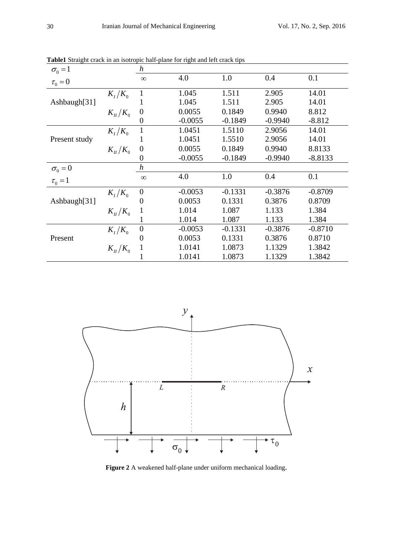| $\sigma_0 = 1$ |                       | h                |           |           |           |           |
|----------------|-----------------------|------------------|-----------|-----------|-----------|-----------|
| $\tau_0 = 0$   |                       | $\infty$         | 4.0       | 1.0       | 0.4       | 0.1       |
|                | $K_{I}/K_{0}$         | $\mathbf{1}$     | 1.045     | 1.511     | 2.905     | 14.01     |
| Ashbaugh[31]   |                       | 1                | 1.045     | 1.511     | 2.905     | 14.01     |
|                | $K_{\rm H}/K_{\rm o}$ | $\overline{0}$   | 0.0055    | 0.1849    | 0.9940    | 8.812     |
|                |                       | $\theta$         | $-0.0055$ | $-0.1849$ | $-0.9940$ | $-8.812$  |
|                | $K_{I}/K_{0}$         | 1                | 1.0451    | 1.5110    | 2.9056    | 14.01     |
| Present study  |                       |                  | 1.0451    | 1.5510    | 2.9056    | 14.01     |
|                | $K_{II}/K_0$          | $\overline{0}$   | 0.0055    | 0.1849    | 0.9940    | 8.8133    |
|                |                       | 0                | $-0.0055$ | $-0.1849$ | $-0.9940$ | $-8.8133$ |
| $\sigma_0 = 0$ |                       | $\boldsymbol{h}$ |           |           |           |           |
| $\tau_0 = 1$   |                       | $\infty$         | 4.0       | 1.0       | 0.4       | 0.1       |
|                | $K_I/K_0$             | $\overline{0}$   | $-0.0053$ | $-0.1331$ | $-0.3876$ | $-0.8709$ |
| Ashbaugh[31]   |                       | $\boldsymbol{0}$ | 0.0053    | 0.1331    | 0.3876    | 0.8709    |
|                | $K_{\rm H}/K_{\rm o}$ |                  | 1.014     | 1.087     | 1.133     | 1.384     |
|                |                       |                  | 1.014     | 1.087     | 1.133     | 1.384     |
|                | $K_I/K_0$             | $\overline{0}$   | $-0.0053$ | $-0.1331$ | $-0.3876$ | $-0.8710$ |
| Present        |                       | $\theta$         | 0.0053    | 0.1331    | 0.3876    | 0.8710    |
|                | $K_{\rm H}/K_{\rm o}$ |                  | 1.0141    | 1.0873    | 1.1329    | 1.3842    |
|                |                       |                  | 1.0141    | 1.0873    | 1.1329    | 1.3842    |

**Table1** Straight crack in an isotropic half-plane for right and left crack tips



**Figure 2** A weakened half-plane under uniform mechanical loading.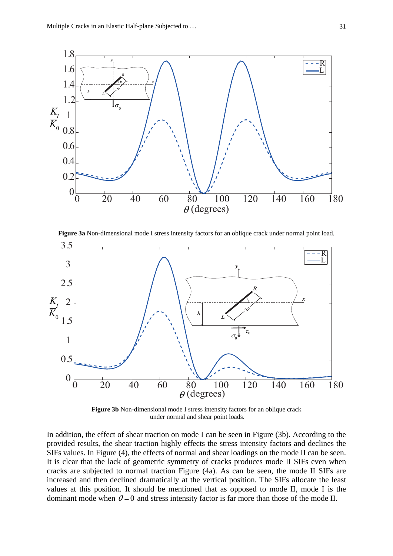

**Figure 3a** Non-dimensional mode I stress intensity factors for an oblique crack under normal point load.



**Figure 3b** Non-dimensional mode I stress intensity factors for an oblique crack under normal and shear point loads.

In addition, the effect of shear traction on mode I can be seen in Figure (3b). According to the provided results, the shear traction highly effects the stress intensity factors and declines the SIFs values. In Figure (4), the effects of normal and shear loadings on the mode II can be seen. It is clear that the lack of geometric symmetry of cracks produces mode II SIFs even when cracks are subjected to normal traction Figure (4a). As can be seen, the mode II SIFs are increased and then declined dramatically at the vertical position. The SIFs allocate the least values at this position. It should be mentioned that as opposed to mode II, mode I is the dominant mode when  $\theta = 0$  and stress intensity factor is far more than those of the mode II.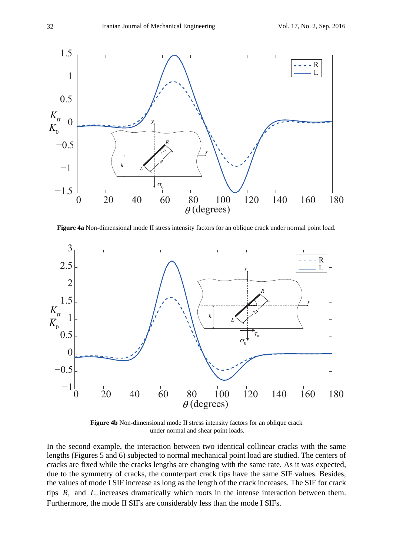

**Figure 4a** Non-dimensional mode II stress intensity factors for an oblique crack under normal point load.



**Figure 4b** Non-dimensional mode II stress intensity factors for an oblique crack under normal and shear point loads.

In the second example, the interaction between two identical collinear cracks with the same lengths (Figures 5 and 6) subjected to normal mechanical point load are studied. The centers of cracks are fixed while the cracks lengths are changing with the same rate. As it was expected, due to the symmetry of cracks, the counterpart crack tips have the same SIF values. Besides, the values of mode I SIF increase as long as the length of the crack increases. The SIF for crack tips  $R_1$  and  $L_2$  increases dramatically which roots in the intense interaction between them. Furthermore, the mode II SIFs are considerably less than the mode I SIFs.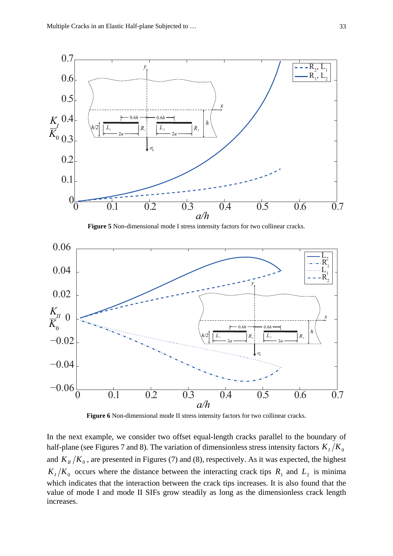

**Figure 5** Non-dimensional mode I stress intensity factors for two collinear cracks.



**Figure 6** Non-dimensional mode II stress intensity factors for two collinear cracks.

In the next example, we consider two offset equal-length cracks parallel to the boundary of half-plane (see Figures 7 and 8). The variation of dimensionless stress intensity factors  $K_I/K_0$ and  $K_{II}/K_0$ , are presented in Figures (7) and (8), respectively. As it was expected, the highest  $K_I/K_0$  occurs where the distance between the interacting crack tips  $R_1$  and  $L_2$  is minima which indicates that the interaction between the crack tips increases. It is also found that the value of mode I and mode II SIFs grow steadily as long as the dimensionless crack length increases.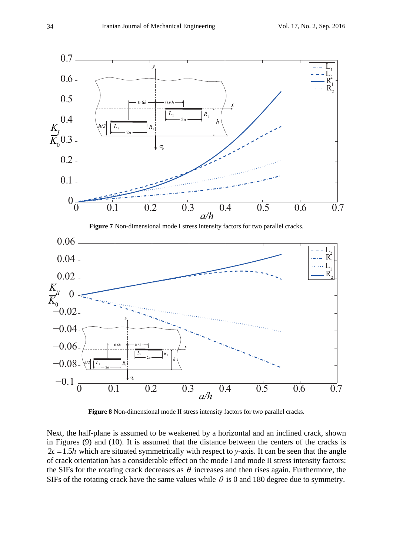

 $-0.1\frac{1}{0}$   $0.1$   $0.2$   $0.3$   $0.4$   $0.5$   $0.6$   $0.7$ −0.08 *a/h* 0 σ 1  $\mathbf{A}_1$ 2  $\Lambda_2$ 

**Figure 8** Non-dimensional mode II stress intensity factors for two parallel cracks.

Next, the half-plane is assumed to be weakened by a horizontal and an inclined crack, shown in Figures (9) and (10). It is assumed that the distance between the centers of the cracks is  $2c = 1.5h$  which are situated symmetrically with respect to *y*-axis. It can be seen that the angle of crack orientation has a considerable effect on the mode I and mode II stress intensity factors; the SIFs for the rotating crack decreases as  $\theta$  increases and then rises again. Furthermore, the SIFs of the rotating crack have the same values while  $\theta$  is 0 and 180 degree due to symmetry.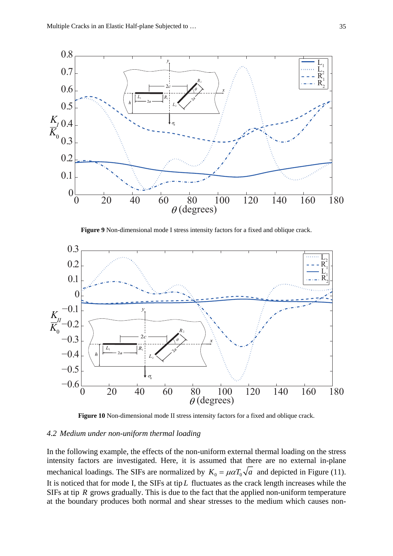

**Figure 9** Non-dimensional mode I stress intensity factors for a fixed and oblique crack.



**Figure 10** Non-dimensional mode II stress intensity factors for a fixed and oblique crack.

#### *4.2 Medium under non-uniform thermal loading*

In the following example, the effects of the non-uniform external thermal loading on the stress intensity factors are investigated. Here, it is assumed that there are no external in-plane mechanical loadings. The SIFs are normalized by  $K_0 = \mu \alpha T_0 \sqrt{a}$  and depicted in Figure (11). It is noticed that for mode I, the SIFs at tip *L* fluctuates as the crack length increases while the SIFs at tip *R* grows gradually. This is due to the fact that the applied non-uniform temperature at the boundary produces both normal and shear stresses to the medium which causes non-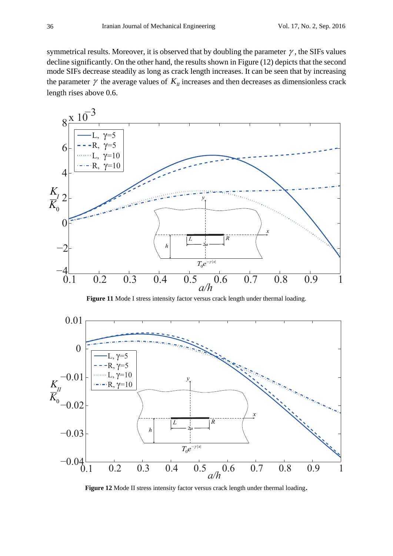symmetrical results. Moreover, it is observed that by doubling the parameter  $\gamma$ , the SIFs values decline significantly. On the other hand, the results shown in Figure (12) depicts that the second mode SIFs decrease steadily as long as crack length increases. It can be seen that by increasing the parameter  $\gamma$  the average values of  $K_{II}$  increases and then decreases as dimensionless crack length rises above 0.6.



**Figure 11** Mode I stress intensity factor versus crack length under thermal loading.



**Figure 12** Mode II stress intensity factor versus crack length under thermal loading.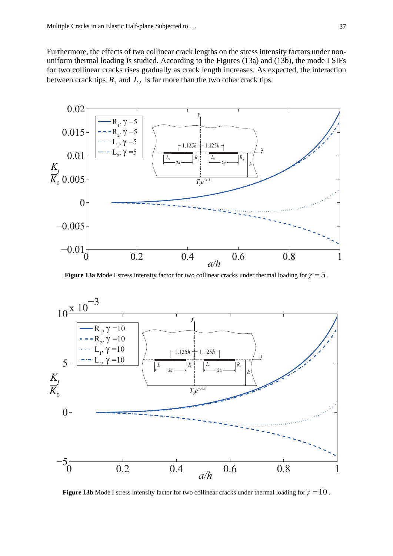Furthermore, the effects of two collinear crack lengths on the stress intensity factors under nonuniform thermal loading is studied. According to the Figures (13a) and (13b), the mode I SIFs for two collinear cracks rises gradually as crack length increases. As expected, the interaction between crack tips  $R_1$  and  $L_2$  is far more than the two other crack tips.



**Figure 13a** Mode I stress intensity factor for two collinear cracks under thermal loading for  $\gamma = 5$ .



**Figure 13b** Mode I stress intensity factor for two collinear cracks under thermal loading for  $\gamma = 10$ .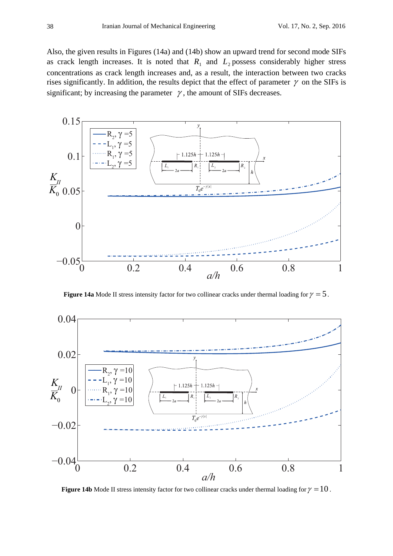Also, the given results in Figures (14a) and (14b) show an upward trend for second mode SIFs as crack length increases. It is noted that  $R_1$  and  $L_2$  possess considerably higher stress concentrations as crack length increases and, as a result, the interaction between two cracks rises significantly. In addition, the results depict that the effect of parameter  $\gamma$  on the SIFs is significant; by increasing the parameter  $\gamma$ , the amount of SIFs decreases.



**Figure 14a** Mode II stress intensity factor for two collinear cracks under thermal loading for  $\gamma = 5$ .



**Figure 14b** Mode II stress intensity factor for two collinear cracks under thermal loading for  $\gamma = 10$ .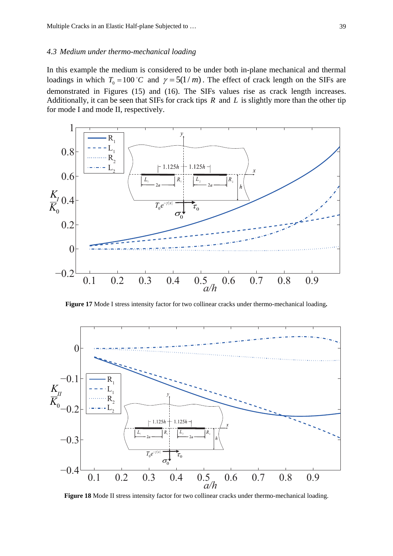#### *4.3 Medium under thermo-mechanical loading*

In this example the medium is considered to be under both in-plane mechanical and thermal loadings in which  $T_0 = 100 \degree C$  and  $\gamma = 5(1/m)$ . The effect of crack length on the SIFs are demonstrated in Figures (15) and (16). The SIFs values rise as crack length increases. Additionally, it can be seen that SIFs for crack tips *R* and *L* is slightly more than the other tip for mode I and mode II, respectively.



**Figure 17** Mode I stress intensity factor for two collinear cracks under thermo-mechanical loading**.** 



**Figure 18** Mode II stress intensity factor for two collinear cracks under thermo-mechanical loading.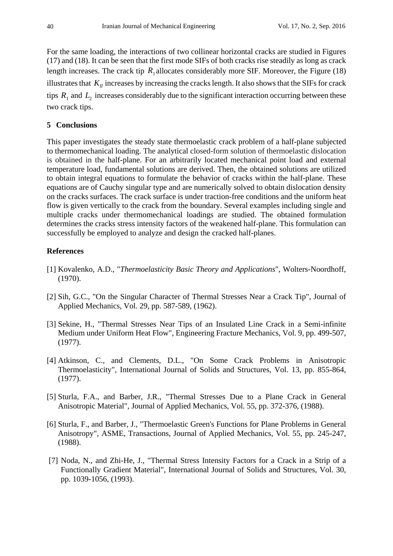For the same loading, the interactions of two collinear horizontal cracks are studied in Figures (17) and (18). It can be seen that the first mode SIFs of both cracks rise steadily as long as crack length increases. The crack tip  $R_1$  allocates considerably more SIF. Moreover, the Figure (18) illustrates that  $K_{II}$  increases by increasing the cracks length. It also shows that the SIFs for crack tips  $R_1$  and  $L_2$  increases considerably due to the significant interaction occurring between these two crack tips.

# **5 Conclusions**

This paper investigates the steady state thermoelastic crack problem of a half-plane subjected to thermomechanical loading. The analytical closed-form solution of thermoelastic dislocation is obtained in the half-plane. For an arbitrarily located mechanical point load and external temperature load, fundamental solutions are derived. Then, the obtained solutions are utilized to obtain integral equations to formulate the behavior of cracks within the half-plane. These equations are of Cauchy singular type and are numerically solved to obtain dislocation density on the cracks surfaces. The crack surface is under traction-free conditions and the uniform heat flow is given vertically to the crack from the boundary. Several examples including single and multiple cracks under thermomechanical loadings are studied. The obtained formulation determines the cracks stress intensity factors of the weakened half-plane. This formulation can successfully be employed to analyze and design the cracked half-planes.

# **References**

- [1] Kovalenko, A.D., "*Thermoelasticity Basic Theory and Applications*", Wolters-Noordhoff, (1970).
- [2] Sih, G.C., "On the Singular Character of Thermal Stresses Near a Crack Tip", Journal of Applied Mechanics, Vol. 29, pp. 587-589, (1962).
- [3] Sekine, H., "Thermal Stresses Near Tips of an Insulated Line Crack in a Semi-infinite Medium under Uniform Heat Flow", Engineering Fracture Mechanics, Vol. 9, pp. 499-507, (1977).
- [4] Atkinson, C., and Clements, D.L., "On Some Crack Problems in Anisotropic Thermoelasticity", International Journal of Solids and Structures, Vol. 13, pp. 855-864, (1977).
- [5] Sturla, F.A., and Barber, J.R., "Thermal Stresses Due to a Plane Crack in General Anisotropic Material", Journal of Applied Mechanics, Vol. 55, pp. 372-376, (1988).
- [6] Sturla, F., and Barber, J., "Thermoelastic Green's Functions for Plane Problems in General Anisotropy", ASME, Transactions, Journal of Applied Mechanics, Vol. 55, pp. 245-247, (1988).
- [7] Noda, N., and Zhi-He, J., "Thermal Stress Intensity Factors for a Crack in a Strip of a Functionally Gradient Material", International Journal of Solids and Structures, Vol. 30, pp. 1039-1056, (1993).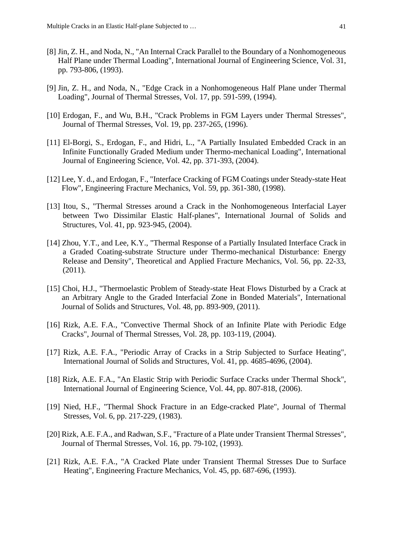- [8] Jin, Z. H., and Noda, N., "An Internal Crack Parallel to the Boundary of a Nonhomogeneous Half Plane under Thermal Loading", International Journal of Engineering Science, Vol. 31, pp. 793-806, (1993).
- [9] Jin, Z. H., and Noda, N., "Edge Crack in a Nonhomogeneous Half Plane under Thermal Loading", Journal of Thermal Stresses, Vol. 17, pp. 591-599, (1994).
- [10] Erdogan, F., and Wu, B.H., "Crack Problems in FGM Layers under Thermal Stresses", Journal of Thermal Stresses, Vol. 19, pp. 237-265, (1996).
- [11] El-Borgi, S., Erdogan, F., and Hidri, L., "A Partially Insulated Embedded Crack in an Infinite Functionally Graded Medium under Thermo-mechanical Loading", International Journal of Engineering Science, Vol. 42, pp. 371-393, (2004).
- [12] Lee, Y. d., and Erdogan, F., "Interface Cracking of FGM Coatings under Steady-state Heat Flow", Engineering Fracture Mechanics, Vol. 59, pp. 361-380, (1998).
- [13] Itou, S., "Thermal Stresses around a Crack in the Nonhomogeneous Interfacial Layer between Two Dissimilar Elastic Half-planes", International Journal of Solids and Structures, Vol. 41, pp. 923-945, (2004).
- [14] Zhou, Y.T., and Lee, K.Y., "Thermal Response of a Partially Insulated Interface Crack in a Graded Coating-substrate Structure under Thermo-mechanical Disturbance: Energy Release and Density", Theoretical and Applied Fracture Mechanics, Vol. 56, pp. 22-33, (2011).
- [15] Choi, H.J., "Thermoelastic Problem of Steady-state Heat Flows Disturbed by a Crack at an Arbitrary Angle to the Graded Interfacial Zone in Bonded Materials", International Journal of Solids and Structures, Vol. 48, pp. 893-909, (2011).
- [16] Rizk, A.E. F.A., "Convective Thermal Shock of an Infinite Plate with Periodic Edge Cracks", Journal of Thermal Stresses, Vol. 28, pp. 103-119, (2004).
- [17] Rizk, A.E. F.A., "Periodic Array of Cracks in a Strip Subjected to Surface Heating", International Journal of Solids and Structures, Vol. 41, pp. 4685-4696, (2004).
- [18] Rizk, A.E. F.A., "An Elastic Strip with Periodic Surface Cracks under Thermal Shock", International Journal of Engineering Science, Vol. 44, pp. 807-818, (2006).
- [19] Nied, H.F., "Thermal Shock Fracture in an Edge-cracked Plate", Journal of Thermal Stresses, Vol. 6, pp. 217-229, (1983).
- [20] Rizk, A.E. F.A., and Radwan, S.F., "Fracture of a Plate under Transient Thermal Stresses", Journal of Thermal Stresses, Vol. 16, pp. 79-102, (1993).
- [21] Rizk, A.E. F.A., "A Cracked Plate under Transient Thermal Stresses Due to Surface Heating", Engineering Fracture Mechanics, Vol. 45, pp. 687-696, (1993).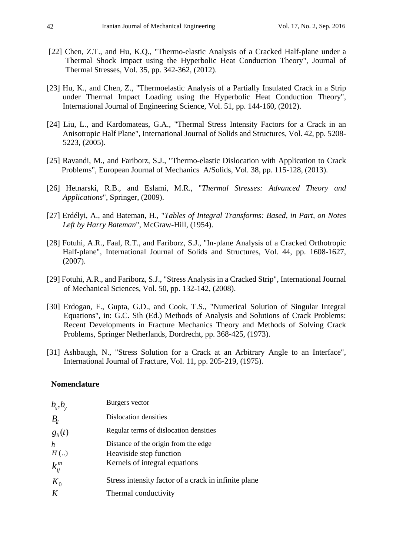- [22] Chen, Z.T., and Hu, K.Q., "Thermo-elastic Analysis of a Cracked Half-plane under a Thermal Shock Impact using the Hyperbolic Heat Conduction Theory", Journal of Thermal Stresses, Vol. 35, pp. 342-362, (2012).
- [23] Hu, K., and Chen, Z., "Thermoelastic Analysis of a Partially Insulated Crack in a Strip under Thermal Impact Loading using the Hyperbolic Heat Conduction Theory", International Journal of Engineering Science, Vol. 51, pp. 144-160, (2012).
- [24] Liu, L., and Kardomateas, G.A., "Thermal Stress Intensity Factors for a Crack in an Anisotropic Half Plane", International Journal of Solids and Structures, Vol. 42, pp. 5208- 5223, (2005).
- [25] Ravandi, M., and Fariborz, S.J., "Thermo-elastic Dislocation with Application to Crack Problems", European Journal of Mechanics A/Solids, Vol. 38, pp. 115-128, (2013).
- [26] Hetnarski, R.B., and Eslami, M.R., "*Thermal Stresses: Advanced Theory and Applications*", Springer, (2009).
- [27] Erdélyi, A., and Bateman, H., "*Tables of Integral Transforms: Based, in Part, on Notes Left by Harry Bateman*", McGraw-Hill, (1954).
- [28] Fotuhi, A.R., Faal, R.T., and Fariborz, S.J., "In-plane Analysis of a Cracked Orthotropic Half-plane", International Journal of Solids and Structures, Vol. 44, pp. 1608-1627, (2007).
- [29] Fotuhi, A.R., and Fariborz, S.J., "Stress Analysis in a Cracked Strip", International Journal of Mechanical Sciences, Vol. 50, pp. 132-142, (2008).
- [30] Erdogan, F., Gupta, G.D., and Cook, T.S., "Numerical Solution of Singular Integral Equations", in: G.C. Sih (Ed.) Methods of Analysis and Solutions of Crack Problems: Recent Developments in Fracture Mechanics Theory and Methods of Solving Crack Problems, Springer Netherlands, Dordrecht, pp. 368-425, (1973).
- [31] Ashbaugh, N., "Stress Solution for a Crack at an Arbitrary Angle to an Interface", International Journal of Fracture, Vol. 11, pp. 205-219, (1975).

#### **Nomenclature**

| $b_x, b_y$  | Burgers vector                                       |
|-------------|------------------------------------------------------|
| $B_{ii}$    | Dislocation densities                                |
| $g_{li}(t)$ | Regular terms of dislocation densities               |
| h           | Distance of the origin from the edge                 |
| H(.)        | Heaviside step function                              |
| $k_{ij}^m$  | Kernels of integral equations                        |
| $K_0$       | Stress intensity factor of a crack in infinite plane |
| K           | Thermal conductivity                                 |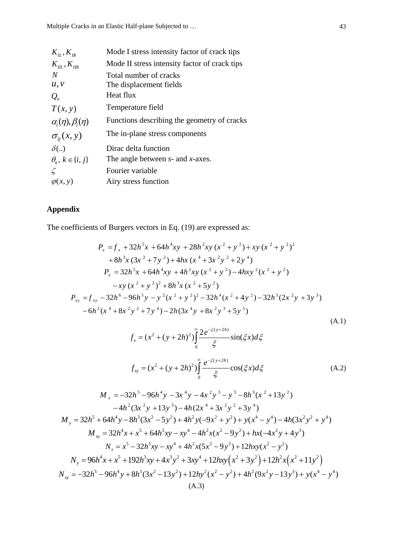|                                                             | Mode I stress intensity factor of crack tips  |
|-------------------------------------------------------------|-----------------------------------------------|
| $K_{\scriptscriptstyle H}$ , $K_{\scriptscriptstyle IR}$    |                                               |
| $K_{\scriptscriptstyle III}$ , $K_{\scriptscriptstyle IIR}$ | Mode II stress intensity factor of crack tips |
| N                                                           | Total number of cracks                        |
| u, v                                                        | The displacement fields                       |
| $Q_{n}$                                                     | Heat flux                                     |
| T(x, y)                                                     | Temperature field                             |
| $\alpha_i(\eta), \beta_i(\eta)$                             | Functions describing the geometry of cracks   |
| $\sigma_{ii}(x, y)$                                         | The in-plane stress components                |
| $\delta(.)$                                                 | Dirac delta function                          |
| $\theta_i, k \in \{i, j\}$                                  | The angle between $s$ - and $x$ -axes.        |
|                                                             | Fourier variable                              |
|                                                             |                                               |
| $\varphi(x, y)$                                             | Airy stress function                          |
|                                                             |                                               |

# **Appendix**

The coefficients of Burgers vectors in Eq. (19) are expressed as:

$$
P_x = f_x + 32h^5x + 64h^4xy + 28h^2xy (x^2 + y^2) + xy (x^2 + y^2)^2
$$
  
+ 8h<sup>3</sup>x (3x<sup>2</sup> + 7y<sup>2</sup>) + 4hx (x<sup>4</sup> + 3x<sup>2</sup>y<sup>2</sup> + 2y<sup>4</sup>)  

$$
P_y = 32h^5x + 64h^4xy + 4h^2xy (x^2 + y^2) - 4hxy^2 (x^2 + y^2)
$$

$$
-xy (x^2 + y^2)^2 + 8h^3x (x^2 + 5y^2)
$$

$$
P_{xy} = f_{xy} - 32h^6 - 96h^5y - y^2 (x^2 + y^2)^2 - 32h^4 (x^2 + 4y^2) - 32h^3 (2x^2y + 3y^3)
$$

$$
-6h^2 (x^4 + 8x^2y^2 + 7y^4) - 2h (3x^4y + 8x^2y^3 + 5y^5)
$$
(A.1)

$$
f_x = (x^2 + (y + 2h)^2) \int_0^{\infty} \frac{2e^{-\xi(y+2h)}}{\xi} \sin(\xi x) d\xi
$$
  

$$
f_{xy} = (x^2 + (y + 2h)^2) \int_0^{\infty} \frac{e^{-\xi(y+2h)}}{\xi} \cos(\xi x) d\xi
$$
 (A.2)

$$
M_{x} = -32h^{5} - 96h^{4}y - 3x^{4}y - 4x^{2}y^{3} - y^{5} - 8h^{3}(x^{2} + 13y^{2})
$$
  
\n
$$
-4h^{2}(3x^{2}y + 13y^{3}) - 4h(2x^{4} + 3x^{2}y^{2} + 3y^{4})
$$
  
\n
$$
M_{y} = 32h^{5} + 64h^{4}y - 8h^{3}(3x^{2} - 5y^{2}) + 4h^{2}y(-9x^{2} + y^{2}) + y(x^{4} - y^{4}) - 4h(3x^{2}y^{2} + y^{4})
$$
  
\n
$$
M_{xy} = 32h^{4}x + x^{5} + 64h^{3}xy - xy^{4} - 4h^{2}x(x^{2} - 9y^{2}) + hx(-4x^{2}y + 4y^{3})
$$
  
\n
$$
N_{x} = x^{5} - 32h^{3}xy - xy^{4} + 4h^{2}x(5x^{2} - 9y^{2}) + 12hxy(x^{2} - y^{2})
$$
  
\n
$$
N_{y} = 96h^{4}x + x^{5} + 192h^{3}xy + 4x^{3}y^{2} + 3xy^{4} + 12hxy(x^{2} + 3y^{2}) + 12h^{2}x(x^{2} + 11y^{2})
$$
  
\n
$$
N_{xy} = -32h^{5} - 96h^{4}y + 8h^{3}(3x^{2} - 13y^{2}) + 12hy^{2}(x^{2} - y^{2}) + 4h^{2}(9x^{2}y - 13y^{3}) + y(x^{4} - y^{4})
$$
  
\n(A.3)